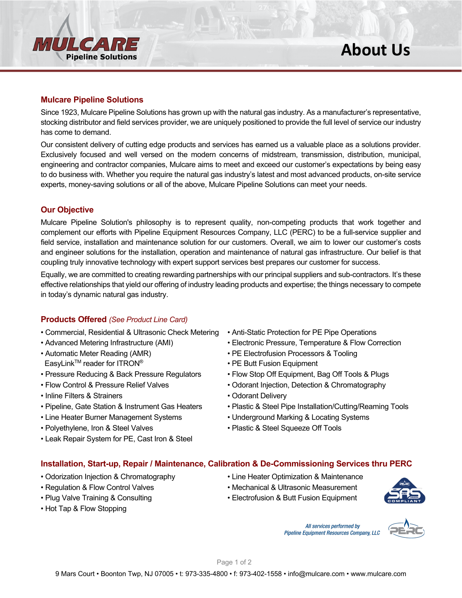

# **Mulcare Pipeline Solutions**

Since 1923, Mulcare Pipeline Solutions has grown up with the natural gas industry. As a manufacturer's representative, stocking distributor and field services provider, we are uniquely positioned to provide the full level of service our industry has come to demand.

Our consistent delivery of cutting edge products and services has earned us a valuable place as a solutions provider. Exclusively focused and well versed on the modern concerns of midstream, transmission, distribution, municipal, engineering and contractor companies, Mulcare aims to meet and exceed our customer's expectations by being easy to do business with. Whether you require the natural gas industry's latest and most advanced products, on-site service experts, money-saving solutions or all of the above, Mulcare Pipeline Solutions can meet your needs.

# **Our Objective**

Mulcare Pipeline Solution's philosophy is to represent quality, non-competing products that work together and complement our efforts with Pipeline Equipment Resources Company, LLC (PERC) to be a full-service supplier and field service, installation and maintenance solution for our customers. Overall, we aim to lower our customer's costs and engineer solutions for the installation, operation and maintenance of natural gas infrastructure. Our belief is that coupling truly innovative technology with expert support services best prepares our customer for success.

Equally, we are committed to creating rewarding partnerships with our principal suppliers and sub-contractors. It's these effective relationships that yield our offering of industry leading products and expertise; the things necessary to compete in today's dynamic natural gas industry.

# **Products Offered** *(See Product Line Card)*

- Commercial, Residential & Ultrasonic Check Metering Anti-Static Protection for PE Pipe Operations
- 
- EasyLinkTM reader for ITRON® PE Butt Fusion Equipment
- 
- 
- Inline Filters & Strainers Odorant Delivery
- 
- 
- 
- Leak Repair System for PE, Cast Iron & Steel
- 
- Advanced Metering Infrastructure (AMI) Electronic Pressure, Temperature & Flow Correction
- Automatic Meter Reading (AMR) PE Electrofusion Processors & Tooling
	-
- Pressure Reducing & Back Pressure Regulators Flow Stop Off Equipment, Bag Off Tools & Plugs
- Flow Control & Pressure Relief Valves Odorant Injection, Detection & Chromatography
	-
- Pipeline, Gate Station & Instrument Gas Heaters Plastic & Steel Pipe Installation/Cutting/Reaming Tools
- Line Heater Burner Management Systems Underground Marking & Locating Systems
- Polyethylene, Iron & Steel Valves Plastic & Steel Squeeze Off Tools

#### **Installation, Start-up, Repair / Maintenance, Calibration & De-Commissioning Services thru PERC**

- Odorization Injection & Chromatography Line Heater Optimization & Maintenance
- 
- 
- Hot Tap & Flow Stopping
- 
- Regulation & Flow Control Valves Mechanical & Ultrasonic Measurement
- Plug Valve Training & Consulting Electrofusion & Butt Fusion Equipment

All services performed by **Pipeline Equipment Resources Company, LLC**